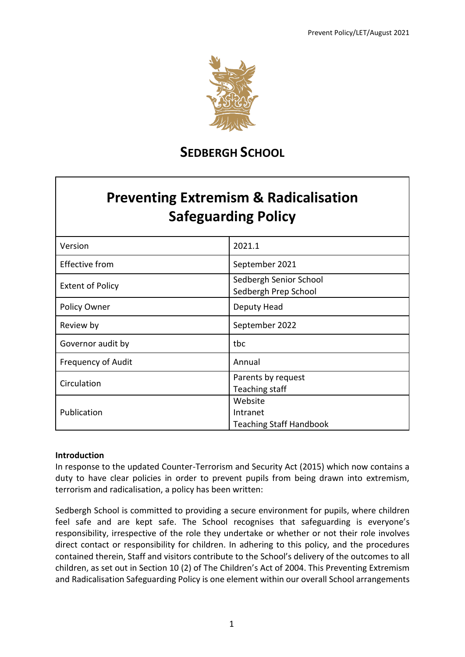

## **SEDBERGH SCHOOL**

# **Preventing Extremism & Radicalisation Safeguarding Policy**

| Version                 | 2021.1                                                |
|-------------------------|-------------------------------------------------------|
| <b>Effective from</b>   | September 2021                                        |
| <b>Extent of Policy</b> | Sedbergh Senior School<br>Sedbergh Prep School        |
| Policy Owner            | Deputy Head                                           |
| Review by               | September 2022                                        |
| Governor audit by       | tbc                                                   |
| Frequency of Audit      | Annual                                                |
| Circulation             | Parents by request<br>Teaching staff                  |
| Publication             | Website<br>Intranet<br><b>Teaching Staff Handbook</b> |

### **Introduction**

In response to the updated Counter-Terrorism and Security Act (2015) which now contains a duty to have clear policies in order to prevent pupils from being drawn into extremism, terrorism and radicalisation, a policy has been written:

Sedbergh School is committed to providing a secure environment for pupils, where children feel safe and are kept safe. The School recognises that safeguarding is everyone's responsibility, irrespective of the role they undertake or whether or not their role involves direct contact or responsibility for children. In adhering to this policy, and the procedures contained therein, Staff and visitors contribute to the School's delivery of the outcomes to all children, as set out in Section 10 (2) of The Children's Act of 2004. This Preventing Extremism and Radicalisation Safeguarding Policy is one element within our overall School arrangements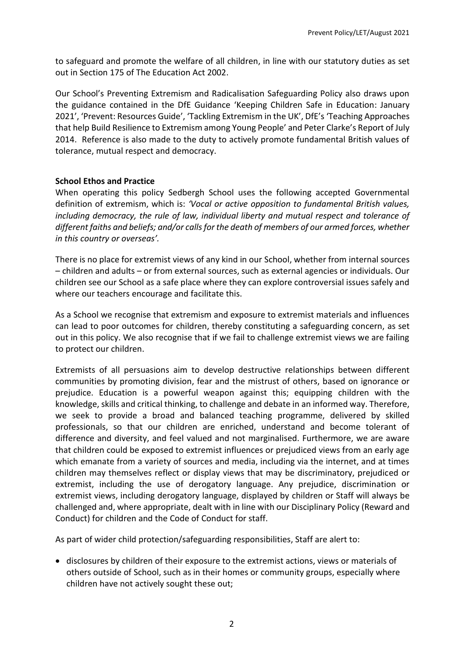to safeguard and promote the welfare of all children, in line with our statutory duties as set out in Section 175 of The Education Act 2002.

Our School's Preventing Extremism and Radicalisation Safeguarding Policy also draws upon the guidance contained in the DfE Guidance 'Keeping Children Safe in Education: January 2021', 'Prevent: Resources Guide', 'Tackling Extremism in the UK', DfE's 'Teaching Approaches that help Build Resilience to Extremism among Young People' and Peter Clarke's Report of July 2014. Reference is also made to the duty to actively promote fundamental British values of tolerance, mutual respect and democracy.

#### **School Ethos and Practice**

When operating this policy Sedbergh School uses the following accepted Governmental definition of extremism, which is: *'Vocal or active opposition to fundamental British values, including democracy, the rule of law, individual liberty and mutual respect and tolerance of different faiths and beliefs; and/or calls for the death of members of our armed forces, whether in this country or overseas'.* 

There is no place for extremist views of any kind in our School, whether from internal sources – children and adults – or from external sources, such as external agencies or individuals. Our children see our School as a safe place where they can explore controversial issues safely and where our teachers encourage and facilitate this.

As a School we recognise that extremism and exposure to extremist materials and influences can lead to poor outcomes for children, thereby constituting a safeguarding concern, as set out in this policy. We also recognise that if we fail to challenge extremist views we are failing to protect our children.

Extremists of all persuasions aim to develop destructive relationships between different communities by promoting division, fear and the mistrust of others, based on ignorance or prejudice. Education is a powerful weapon against this; equipping children with the knowledge, skills and critical thinking, to challenge and debate in an informed way. Therefore, we seek to provide a broad and balanced teaching programme, delivered by skilled professionals, so that our children are enriched, understand and become tolerant of difference and diversity, and feel valued and not marginalised. Furthermore, we are aware that children could be exposed to extremist influences or prejudiced views from an early age which emanate from a variety of sources and media, including via the internet, and at times children may themselves reflect or display views that may be discriminatory, prejudiced or extremist, including the use of derogatory language. Any prejudice, discrimination or extremist views, including derogatory language, displayed by children or Staff will always be challenged and, where appropriate, dealt with in line with our Disciplinary Policy (Reward and Conduct) for children and the Code of Conduct for staff.

As part of wider child protection/safeguarding responsibilities, Staff are alert to:

• disclosures by children of their exposure to the extremist actions, views or materials of others outside of School, such as in their homes or community groups, especially where children have not actively sought these out;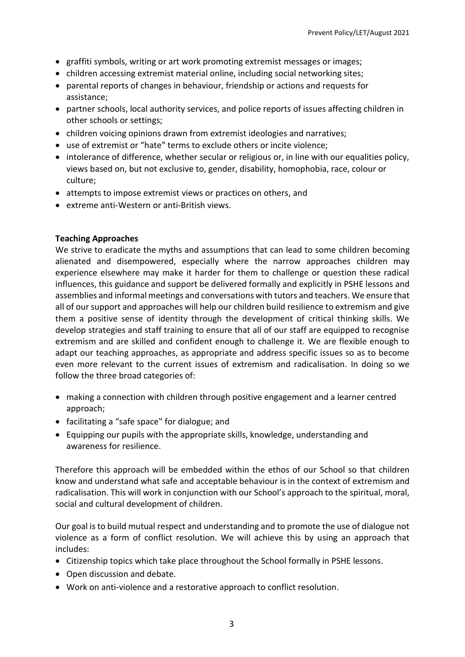- graffiti symbols, writing or art work promoting extremist messages or images;
- children accessing extremist material online, including social networking sites;
- parental reports of changes in behaviour, friendship or actions and requests for assistance;
- partner schools, local authority services, and police reports of issues affecting children in other schools or settings;
- children voicing opinions drawn from extremist ideologies and narratives;
- use of extremist or "hate" terms to exclude others or incite violence;
- intolerance of difference, whether secular or religious or, in line with our equalities policy, views based on, but not exclusive to, gender, disability, homophobia, race, colour or culture;
- attempts to impose extremist views or practices on others, and
- extreme anti-Western or anti-British views.

#### **Teaching Approaches**

We strive to eradicate the myths and assumptions that can lead to some children becoming alienated and disempowered, especially where the narrow approaches children may experience elsewhere may make it harder for them to challenge or question these radical influences, this guidance and support be delivered formally and explicitly in PSHE lessons and assemblies and informal meetings and conversations with tutors and teachers. We ensure that all of our support and approaches will help our children build resilience to extremism and give them a positive sense of identity through the development of critical thinking skills. We develop strategies and staff training to ensure that all of our staff are equipped to recognise extremism and are skilled and confident enough to challenge it. We are flexible enough to adapt our teaching approaches, as appropriate and address specific issues so as to become even more relevant to the current issues of extremism and radicalisation. In doing so we follow the three broad categories of:

- making a connection with children through positive engagement and a learner centred approach;
- facilitating a "safe space" for dialogue; and
- Equipping our pupils with the appropriate skills, knowledge, understanding and awareness for resilience.

Therefore this approach will be embedded within the ethos of our School so that children know and understand what safe and acceptable behaviour is in the context of extremism and radicalisation. This will work in conjunction with our School's approach to the spiritual, moral, social and cultural development of children.

Our goal is to build mutual respect and understanding and to promote the use of dialogue not violence as a form of conflict resolution. We will achieve this by using an approach that includes:

- Citizenship topics which take place throughout the School formally in PSHE lessons.
- Open discussion and debate.
- Work on anti-violence and a restorative approach to conflict resolution.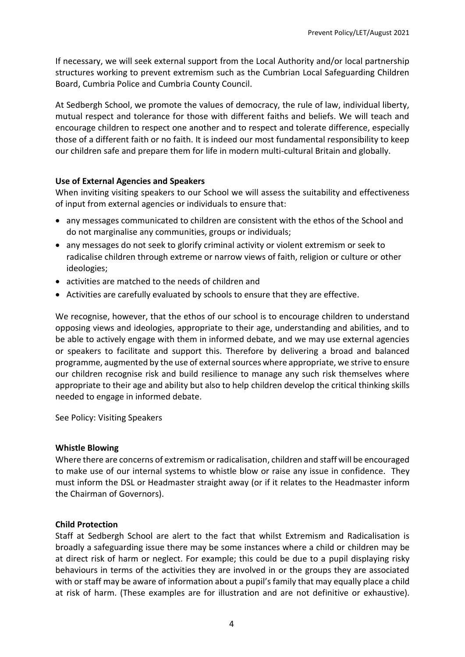If necessary, we will seek external support from the Local Authority and/or local partnership structures working to prevent extremism such as the Cumbrian Local Safeguarding Children Board, Cumbria Police and Cumbria County Council.

At Sedbergh School, we promote the values of democracy, the rule of law, individual liberty, mutual respect and tolerance for those with different faiths and beliefs. We will teach and encourage children to respect one another and to respect and tolerate difference, especially those of a different faith or no faith. It is indeed our most fundamental responsibility to keep our children safe and prepare them for life in modern multi-cultural Britain and globally.

#### **Use of External Agencies and Speakers**

When inviting visiting speakers to our School we will assess the suitability and effectiveness of input from external agencies or individuals to ensure that:

- any messages communicated to children are consistent with the ethos of the School and do not marginalise any communities, groups or individuals;
- any messages do not seek to glorify criminal activity or violent extremism or seek to radicalise children through extreme or narrow views of faith, religion or culture or other ideologies;
- activities are matched to the needs of children and
- Activities are carefully evaluated by schools to ensure that they are effective.

We recognise, however, that the ethos of our school is to encourage children to understand opposing views and ideologies, appropriate to their age, understanding and abilities, and to be able to actively engage with them in informed debate, and we may use external agencies or speakers to facilitate and support this. Therefore by delivering a broad and balanced programme, augmented by the use of external sources where appropriate, we strive to ensure our children recognise risk and build resilience to manage any such risk themselves where appropriate to their age and ability but also to help children develop the critical thinking skills needed to engage in informed debate.

See Policy: Visiting Speakers

#### **Whistle Blowing**

Where there are concerns of extremism or radicalisation, children and staff will be encouraged to make use of our internal systems to whistle blow or raise any issue in confidence. They must inform the DSL or Headmaster straight away (or if it relates to the Headmaster inform the Chairman of Governors).

#### **Child Protection**

Staff at Sedbergh School are alert to the fact that whilst Extremism and Radicalisation is broadly a safeguarding issue there may be some instances where a child or children may be at direct risk of harm or neglect. For example; this could be due to a pupil displaying risky behaviours in terms of the activities they are involved in or the groups they are associated with or staff may be aware of information about a pupil's family that may equally place a child at risk of harm. (These examples are for illustration and are not definitive or exhaustive).